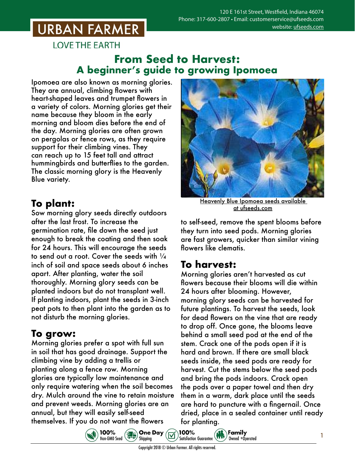## **URBAN FARMER**

**LOVE THE EARTH** 

#### **From Seed to Harvest: A beginner's guide to growing Ipomoea**

Ipomoea are also known as morning glories. They are annual, climbing flowers with heart-shaped leaves and trumpet flowers in a variety of colors. Morning glories get their name because they bloom in the early morning and bloom dies before the end of the day. Morning glories are often grown on pergolas or fence rows, as they require support for their climbing vines. They can reach up to 15 feet tall and attract hummingbirds and butterflies to the garden. The classic morning glory is the Heavenly Blue variety.

### **To plant:**

Sow morning glory seeds directly outdoors after the last frost. To increase the germination rate, file down the seed just enough to break the coating and then soak for 24 hours. This will encourage the seeds to send out a root. Cover the seeds with  $\frac{1}{4}$ inch of soil and space seeds about 6 inches apart. After planting, water the soil thoroughly. Morning glory seeds can be planted indoors but do not transplant well. If planting indoors, plant the seeds in 3-inch peat pots to then plant into the garden as to not disturb the morning glories.

### **To grow:**

Morning glories prefer a spot with full sun in soil that has good drainage. Support the climbing vine by adding a trellis or planting along a fence row. Morning glories are typically low maintenance and only require watering when the soil becomes dry. Mulch around the vine to retain moisture and prevent weeds. Morning glories are an annual, but they will easily self-seed themselves. If you do not want the flowers



Heavenly Blue Ipomoea seeds [available](https://www.ufseeds.com/product-category/flowers/ipomoea/)  [at ufseeds.com](https://www.ufseeds.com/product-category/flowers/ipomoea/)

to self-seed, remove the spent blooms before they turn into seed pods. Morning glories are fast growers, quicker than similar vining flowers like clematis.

## **To harvest:**

Morning glories aren't harvested as cut flowers because their blooms will die within 24 hours after blooming. However, morning glory seeds can be harvested for future plantings. To harvest the seeds, look for dead flowers on the vine that are ready to drop off. Once gone, the blooms leave behind a small seed pod at the end of the stem. Crack one of the pods open if it is hard and brown. If there are small black seeds inside, the seed pods are ready for harvest. Cut the stems below the seed pods and bring the pods indoors. Crack open the pods over a paper towel and then dry them in a warm, dark place until the seeds are hard to puncture with a fingernail. Once dried, place in a sealed container until ready for planting.

1



100%<br>Satisfaction Guarantee (*11)* Dwned +0pe Owned +Operated

Shipping